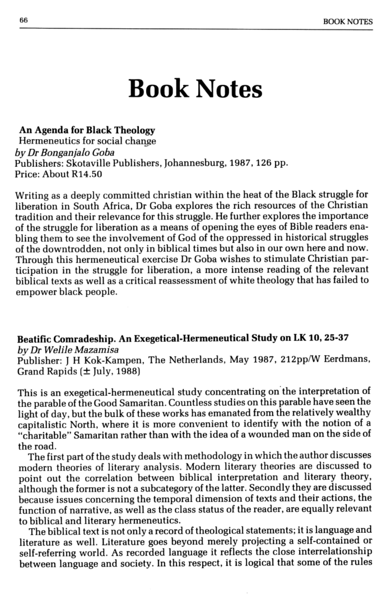## Book Notes

## An Agenda for Black Theology

Hermeneutics for social change *by Dr Bonganjalo Goba -* Publishers: Skotaville Publishers, Johannesburg. 1987, 126 pp. Price: About R14.50

Beatific Comradeship. An Exegetical-Hermeneutical Study on LK 10, 25-37 *by Dr Welile M8Z8misa* Publisher: J H Kok-Kampen, The Netherlands, May 1987, 212pp/W Eerdmans, Grand Rapids  $(\pm \text{ July}, 1988)$ 

Writing as a deeply committed christian within the heat of the Black struggle for liberation in South Africa, Dr Goba explores the rich resources of the Christian tradition and their relevance for this struggle. He further explores the importance of the struggle for liberation as a means of opening the eyes of Bible readers enabling them to see the involvement of God of the oppressed in historical struggles of the downtrodden. not only in biblical times but also in our own here and now. Through this hermeneutical exercise Dr Goba wishes to stimulate Christian participation in the struggle for liberation, a more intense reading of the relevant biblical texts as well as a critical reassessment of white theology that has failed to empower black people.

This is an exegetical-hermeneutical study concentrating on"the interpretation of the parable of the Good Samaritan. Countless studies on this parable have seen the light of day, but the bulk of these works has emanated from the relatively wealthy capitalistic North. where it is more convenient to identify with the notion of a "charitable" Samaritan rather than with the idea of a wounded man on the side of the road. The first part of the study deals with methodology in which the author discusses modern theories of literary analysis. Modern literary theories are discussed to point out the correlation between biblical interpretation and literary theory, although the former is not a subcategory of the latter. Secondly they are discussed because issues concerning the temporal dimension of texts and their actions, the function of narrative, as well as the class status of the reader, are equally relevant to biblical and literary hermeneutics. The biblical text is not only a record of theological statements; it is language and literature as well. Literature goes beyond merely projecting a self-contained or self-referring world. As recorded language it reflects the close interrelationship between language and society. In this respect, it is logical that some of the rules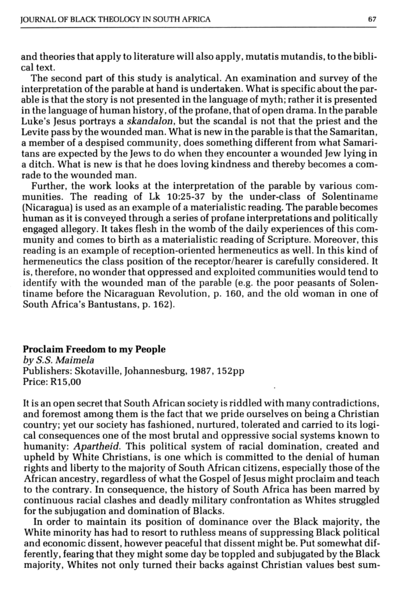and theories that apply to literature will also apply, mutatis mutandis, to the biblical text.

The second part of this study is analytical. An examination and survey of the interpretation of the parable at hand is undertaken. What is specific about the parable is that the story is not presented in the language of myth; rather it is presented in the language of human history, of the profane, that of open drama. In the parable Luke's Jesus portrays a *skandalon,* but the scandal is not that the priest and the Levite pass by the wounded man. What is new in the parable is that the Samaritan, a member of a despised community, does something different from what Samaritans are expected by the Jews to do when they encounter a wounded Jew lying in a ditch. What is new is that he does loving kindness and thereby becomes a comrade to the wounded man.

Further, the work looks at the interpretation of the parable by various communities. The reading of Lk 10:25-37 by the under-class of Solentiname (Nicaragua) is used as an example of a materialistic reading. The parable becomes human as it is conveyed through a series of profane interpretations and politically engaged allegory. It takes flesh in the womb of the daily experiences of this community and comes to birth as a materialistic reading of Scripture. Moreover, this reading is an example of reception-oriented hermeneutics as well. In this kind of hermeneutics the class position of the receptor/hearer is carefully considered. It is, therefore, no wonder that oppressed and exploited communities would tend to identify with the wounded man of the parable (e.g. the poor peasants of Solentiname before the Nicaraguan Revolution, p. 160, and the old woman in one of South Africa's Bantustans, p. 162).

## Proclaim Freedom to my People

*by S.S. Maimela* Publishers: Skotaville, Johannesburg, 1987, 152pp Price: R15,00

It is an open secret that South African society is riddled with many contradictions, and foremost among them is the fact that we pride ourselves on being a Christian country: yet our society has fashioned, nurtured, tolerated and carried to its logical consequences one of the most brutal and oppressive social systems known to humanity: *Apartheid.* This political system of racial domination, created and upheld by White Christians, is one which is committed to the denial of human rights and liberty to the majority of South African citizens, especially those of the African ancestry, regardless of what the Gospel of Jesus might proclaim and teach to the contrary. In consequence. the history of South Africa has been marred by continuous racial clashes and deadly military confrontation as Whites struggled for the subjugation and domination of Blacks. In order to maintain its position of dominance over the Black majority, the White minority has had to resort to ruthless means of suppressing Black political and economic dissent, however peaceful that dissent might be. Put somewhat differently, fearing that they might some day be toppled and subjugated by the Black majority, Whites not only turned their backs against Christian values best sum